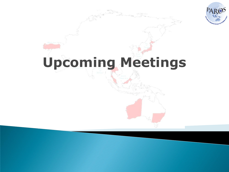

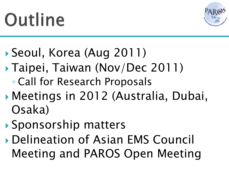# Outline



## Seoul, Korea (Aug 2011)

- Taipei, Taiwan (Nov/Dec 2011)
	- Call for Research Proposals
- Meetings in 2012 (Australia, Dubai, Osaka)
- Sponsorship matters
- Delineation of Asian EMS Council Meeting and PAROS Open Meeting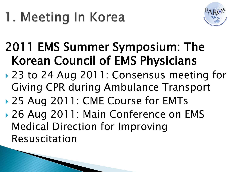

- 2011 EMS Summer Symposium: The Korean Council of EMS Physicians
- ▶ 23 to 24 Aug 2011: Consensus meeting for Giving CPR during Ambulance Transport
- ▶ 25 Aug 2011: CME Course for EMTs
- ▶ 26 Aug 2011: Main Conference on EMS Medical Direction for Improving Resuscitation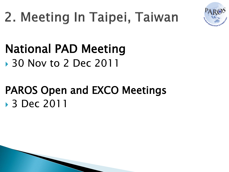

### National PAD Meeting **▶ 30 Nov to 2 Dec 2011**

## PAROS Open and EXCO Meetings 3 Dec 2011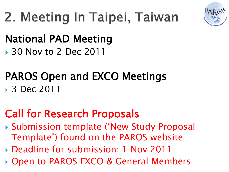

# 2. Meeting In Taipei, Taiwan

#### National PAD Meeting **→ 30 Nov to 2 Dec 2011**

### PAROS Open and EXCO Meetings **■ 3 Dec 2011**

### Call for Research Proposals

- Submission template ('New Study Proposal Template') found on the PAROS website
- Deadline for submission: 1 Nov 2011
- Open to PAROS EXCO & General Members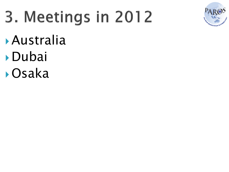# 3. Meetings in 2012



- Australia
- Dubai
- Osaka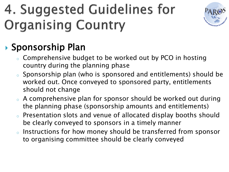# 4. Suggested Guidelines for **Organising Country**



#### ▶ Sponsorship Plan

- <sup>o</sup> Comprehensive budget to be worked out by PCO in hosting country during the planning phase
- <sup>o</sup> Sponsorship plan (who is sponsored and entitlements) should be worked out. Once conveyed to sponsored party, entitlements should not change
- <sup>o</sup> A comprehensive plan for sponsor should be worked out during the planning phase (sponsorship amounts and entitlements)
- <sup>o</sup> Presentation slots and venue of allocated display booths should be clearly conveyed to sponsors in a timely manner
- <sup>o</sup> Instructions for how money should be transferred from sponsor to organising committee should be clearly conveyed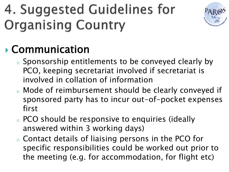# 4. Suggested Guidelines for **Organising Country**



### Communication

- <sup>o</sup> Sponsorship entitlements to be conveyed clearly by PCO, keeping secretariat involved if secretariat is involved in collation of information
- <sup>o</sup> Mode of reimbursement should be clearly conveyed if sponsored party has to incur out-of-pocket expenses first
- <sup>o</sup> PCO should be responsive to enquiries (ideally answered within 3 working days)
- <sup>o</sup> Contact details of liaising persons in the PCO for specific responsibilities could be worked out prior to the meeting (e.g. for accommodation, for flight etc)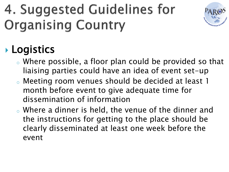# 4. Suggested Guidelines for **Organising Country**



### **Logistics**

- <sup>o</sup> Where possible, a floor plan could be provided so that liaising parties could have an idea of event set-up
- <sup>o</sup> Meeting room venues should be decided at least 1 month before event to give adequate time for dissemination of information
- <sup>o</sup> Where a dinner is held, the venue of the dinner and the instructions for getting to the place should be clearly disseminated at least one week before the event